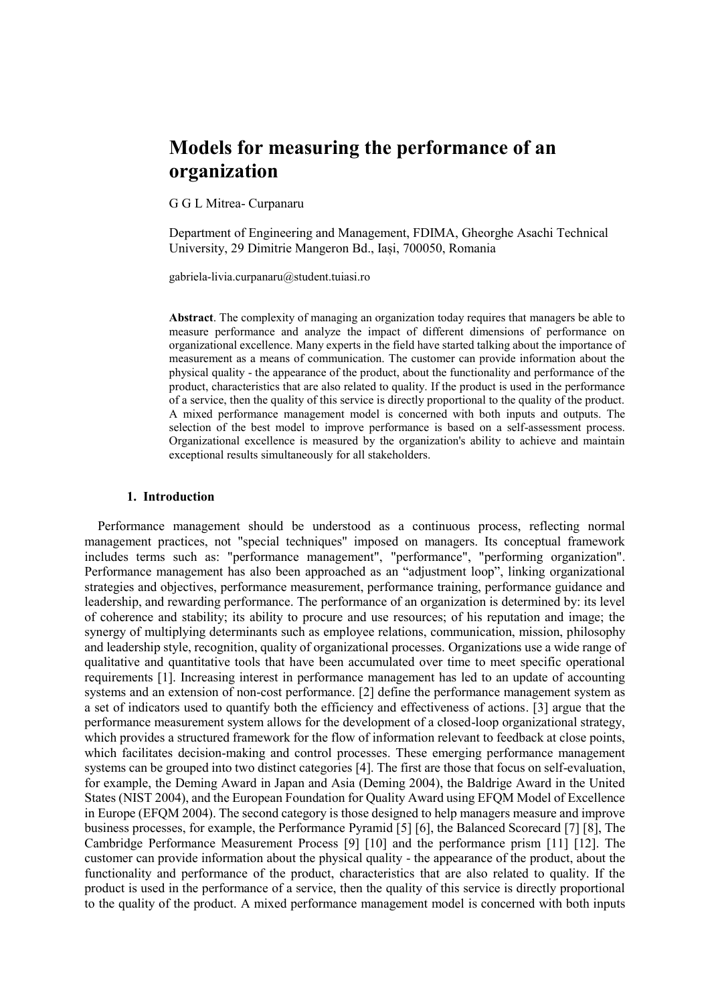# **Models for measuring the performance of an organization**

G G L Mitrea- Curpanaru

Department of Engineering and Management, FDIMA, Gheorghe Asachi Technical University, 29 Dimitrie Mangeron Bd., Iași, 700050, Romania

gabriela-livia.curpanaru@student.tuiasi.ro

**Abstract**. The complexity of managing an organization today requires that managers be able to measure performance and analyze the impact of different dimensions of performance on organizational excellence. Many experts in the field have started talking about the importance of measurement as a means of communication. The customer can provide information about the physical quality - the appearance of the product, about the functionality and performance of the product, characteristics that are also related to quality. If the product is used in the performance of a service, then the quality of this service is directly proportional to the quality of the product. A mixed performance management model is concerned with both inputs and outputs. The selection of the best model to improve performance is based on a self-assessment process. Organizational excellence is measured by the organization's ability to achieve and maintain exceptional results simultaneously for all stakeholders.

#### **1. Introduction**

 Performance management should be understood as a continuous process, reflecting normal management practices, not "special techniques" imposed on managers. Its conceptual framework includes terms such as: "performance management", "performance", "performing organization". Performance management has also been approached as an "adjustment loop", linking organizational strategies and objectives, performance measurement, performance training, performance guidance and leadership, and rewarding performance. The performance of an organization is determined by: its level of coherence and stability; its ability to procure and use resources; of his reputation and image; the synergy of multiplying determinants such as employee relations, communication, mission, philosophy and leadership style, recognition, quality of organizational processes. Organizations use a wide range of qualitative and quantitative tools that have been accumulated over time to meet specific operational requirements [1]. Increasing interest in performance management has led to an update of accounting systems and an extension of non-cost performance. [2] define the performance management system as a set of indicators used to quantify both the efficiency and effectiveness of actions. [3] argue that the performance measurement system allows for the development of a closed-loop organizational strategy, which provides a structured framework for the flow of information relevant to feedback at close points, which facilitates decision-making and control processes. These emerging performance management systems can be grouped into two distinct categories [4]. The first are those that focus on self-evaluation, for example, the Deming Award in Japan and Asia (Deming 2004), the Baldrige Award in the United States (NIST 2004), and the European Foundation for Quality Award using EFQM Model of Excellence in Europe (EFQM 2004). The second category is those designed to help managers measure and improve business processes, for example, the Performance Pyramid [5] [6], the Balanced Scorecard [7] [8], The Cambridge Performance Measurement Process [9] [10] and the performance prism [11] [12]. The customer can provide information about the physical quality - the appearance of the product, about the functionality and performance of the product, characteristics that are also related to quality. If the product is used in the performance of a service, then the quality of this service is directly proportional to the quality of the product. A mixed performance management model is concerned with both inputs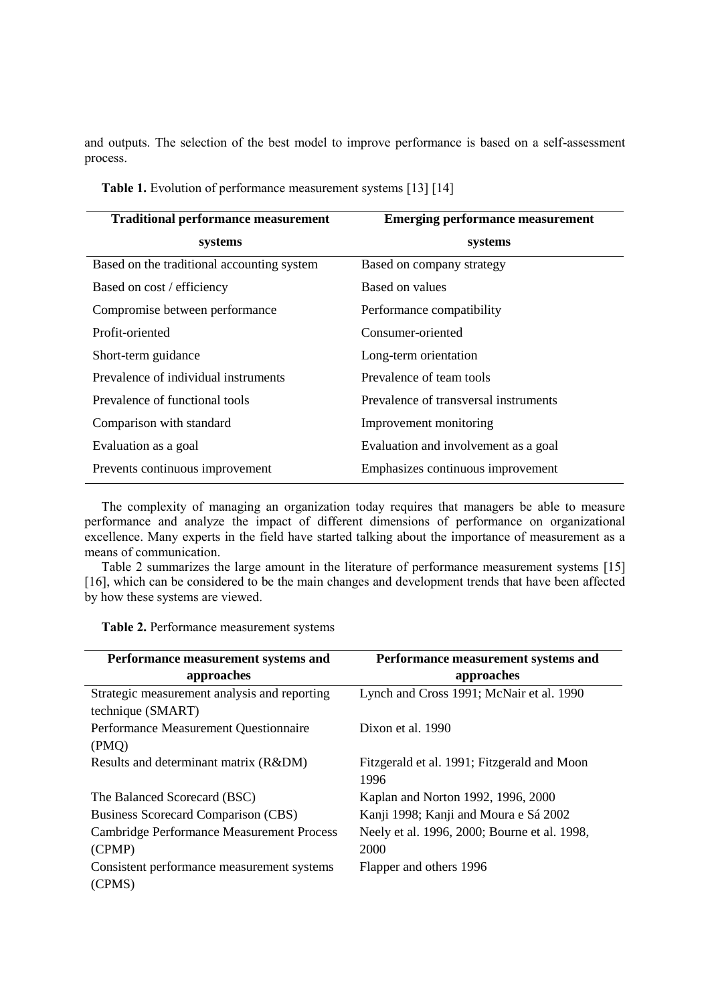and outputs. The selection of the best model to improve performance is based on a self-assessment process.

| <b>Traditional performance measurement</b> | <b>Emerging performance measurement</b> |
|--------------------------------------------|-----------------------------------------|
| systems                                    | systems                                 |
| Based on the traditional accounting system | Based on company strategy               |
| Based on cost / efficiency                 | Based on values                         |
| Compromise between performance             | Performance compatibility               |
| Profit-oriented                            | Consumer-oriented                       |
| Short-term guidance                        | Long-term orientation                   |
| Prevalence of individual instruments       | Prevalence of team tools                |
| Prevalence of functional tools             | Prevalence of transversal instruments   |
| Comparison with standard                   | Improvement monitoring                  |
| Evaluation as a goal                       | Evaluation and involvement as a goal    |
| Prevents continuous improvement            | Emphasizes continuous improvement       |

**Table 1.** Evolution of performance measurement systems [13] [14]

The complexity of managing an organization today requires that managers be able to measure performance and analyze the impact of different dimensions of performance on organizational excellence. Many experts in the field have started talking about the importance of measurement as a means of communication.

Table 2 summarizes the large amount in the literature of performance measurement systems [15] [16], which can be considered to be the main changes and development trends that have been affected by how these systems are viewed.

| Performance measurement systems and              | Performance measurement systems and          |
|--------------------------------------------------|----------------------------------------------|
| approaches                                       | approaches                                   |
| Strategic measurement analysis and reporting     | Lynch and Cross 1991; McNair et al. 1990     |
| technique (SMART)                                |                                              |
| Performance Measurement Questionnaire            | Dixon et al. 1990                            |
| (PMO)                                            |                                              |
| Results and determinant matrix (R&DM)            | Fitzgerald et al. 1991; Fitzgerald and Moon  |
|                                                  | 1996                                         |
| The Balanced Scorecard (BSC)                     | Kaplan and Norton 1992, 1996, 2000           |
| Business Scorecard Comparison (CBS)              | Kanji 1998; Kanji and Moura e Sá 2002        |
| <b>Cambridge Performance Measurement Process</b> | Neely et al. 1996, 2000; Bourne et al. 1998, |
| (CPMP)                                           | 2000                                         |
| Consistent performance measurement systems       | Flapper and others 1996                      |
| (CPMS)                                           |                                              |

**Table 2.** Performance measurement systems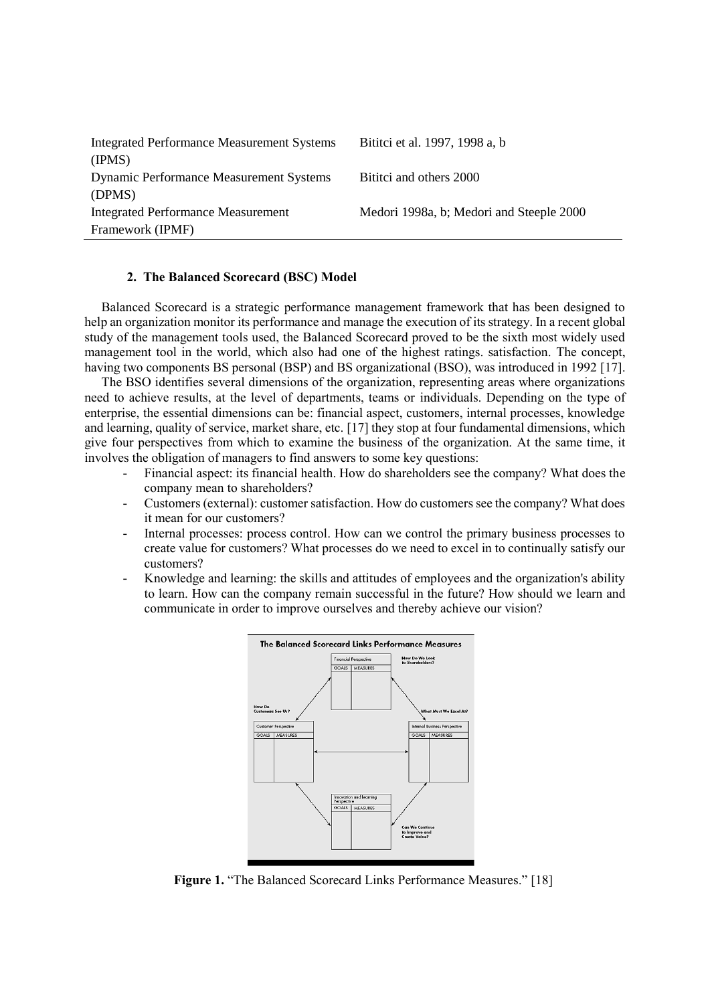| <b>Integrated Performance Measurement Systems</b> | Bititci et al. 1997, 1998 a, b           |
|---------------------------------------------------|------------------------------------------|
| (IPMS)                                            |                                          |
| <b>Dynamic Performance Measurement Systems</b>    | Bititci and others 2000                  |
| (DPMS)                                            |                                          |
| <b>Integrated Performance Measurement</b>         | Medori 1998a, b; Medori and Steeple 2000 |
| Framework (IPMF)                                  |                                          |

## **2. The Balanced Scorecard (BSC) Model**

Balanced Scorecard is a strategic performance management framework that has been designed to help an organization monitor its performance and manage the execution of its strategy. In a recent global study of the management tools used, the Balanced Scorecard proved to be the sixth most widely used management tool in the world, which also had one of the highest ratings. satisfaction. The concept, having two components BS personal (BSP) and BS organizational (BSO), was introduced in 1992 [17].

The BSO identifies several dimensions of the organization, representing areas where organizations need to achieve results, at the level of departments, teams or individuals. Depending on the type of enterprise, the essential dimensions can be: financial aspect, customers, internal processes, knowledge and learning, quality of service, market share, etc. [17] they stop at four fundamental dimensions, which give four perspectives from which to examine the business of the organization. At the same time, it involves the obligation of managers to find answers to some key questions:

- Financial aspect: its financial health. How do shareholders see the company? What does the company mean to shareholders?
- Customers (external): customer satisfaction. How do customers see the company? What does it mean for our customers?
- Internal processes: process control. How can we control the primary business processes to create value for customers? What processes do we need to excel in to continually satisfy our customers?
- Knowledge and learning: the skills and attitudes of employees and the organization's ability to learn. How can the company remain successful in the future? How should we learn and communicate in order to improve ourselves and thereby achieve our vision?



**Figure 1.** "The Balanced Scorecard Links Performance Measures." [18]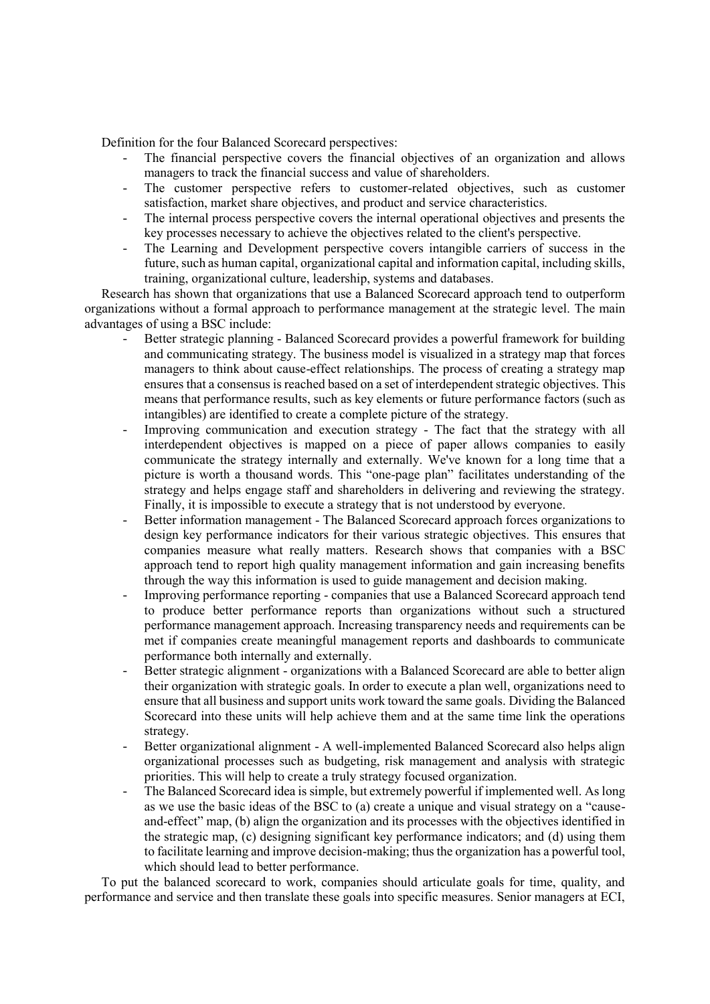Definition for the four Balanced Scorecard perspectives:

- The financial perspective covers the financial objectives of an organization and allows managers to track the financial success and value of shareholders.
- The customer perspective refers to customer-related objectives, such as customer satisfaction, market share objectives, and product and service characteristics.
- The internal process perspective covers the internal operational objectives and presents the key processes necessary to achieve the objectives related to the client's perspective.
- The Learning and Development perspective covers intangible carriers of success in the future, such as human capital, organizational capital and information capital, including skills, training, organizational culture, leadership, systems and databases.

Research has shown that organizations that use a Balanced Scorecard approach tend to outperform organizations without a formal approach to performance management at the strategic level. The main advantages of using a BSC include:

- Better strategic planning Balanced Scorecard provides a powerful framework for building and communicating strategy. The business model is visualized in a strategy map that forces managers to think about cause-effect relationships. The process of creating a strategy map ensures that a consensus is reached based on a set of interdependent strategic objectives. This means that performance results, such as key elements or future performance factors (such as intangibles) are identified to create a complete picture of the strategy.
- Improving communication and execution strategy The fact that the strategy with all interdependent objectives is mapped on a piece of paper allows companies to easily communicate the strategy internally and externally. We've known for a long time that a picture is worth a thousand words. This "one-page plan" facilitates understanding of the strategy and helps engage staff and shareholders in delivering and reviewing the strategy. Finally, it is impossible to execute a strategy that is not understood by everyone.
- Better information management The Balanced Scorecard approach forces organizations to design key performance indicators for their various strategic objectives. This ensures that companies measure what really matters. Research shows that companies with a BSC approach tend to report high quality management information and gain increasing benefits through the way this information is used to guide management and decision making.
- Improving performance reporting companies that use a Balanced Scorecard approach tend to produce better performance reports than organizations without such a structured performance management approach. Increasing transparency needs and requirements can be met if companies create meaningful management reports and dashboards to communicate performance both internally and externally.
- Better strategic alignment organizations with a Balanced Scorecard are able to better align their organization with strategic goals. In order to execute a plan well, organizations need to ensure that all business and support units work toward the same goals. Dividing the Balanced Scorecard into these units will help achieve them and at the same time link the operations strategy.
- Better organizational alignment A well-implemented Balanced Scorecard also helps align organizational processes such as budgeting, risk management and analysis with strategic priorities. This will help to create a truly strategy focused organization.
- The Balanced Scorecard idea is simple, but extremely powerful if implemented well. As long as we use the basic ideas of the BSC to (a) create a unique and visual strategy on a "causeand-effect" map, (b) align the organization and its processes with the objectives identified in the strategic map, (c) designing significant key performance indicators; and (d) using them to facilitate learning and improve decision-making; thus the organization has a powerful tool, which should lead to better performance.

To put the balanced scorecard to work, companies should articulate goals for time, quality, and performance and service and then translate these goals into specific measures. Senior managers at ECI,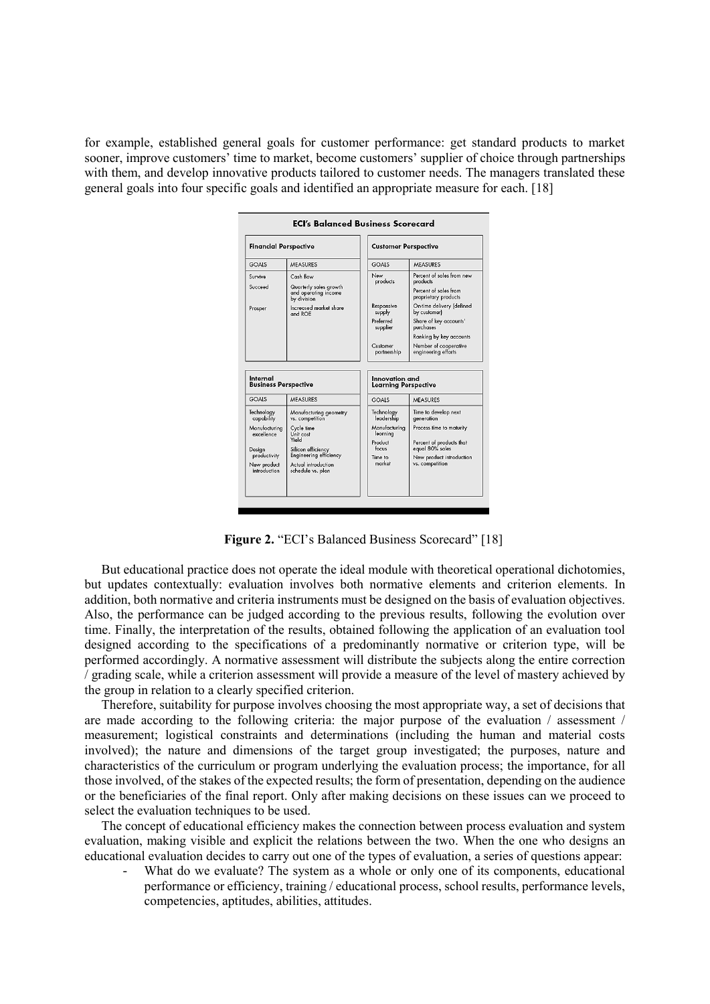for example, established general goals for customer performance: get standard products to market sooner, improve customers' time to market, become customers' supplier of choice through partnerships with them, and develop innovative products tailored to customer needs. The managers translated these general goals into four specific goals and identified an appropriate measure for each. [18]



Figure 2. "ECI's Balanced Business Scorecard" [18]

But educational practice does not operate the ideal module with theoretical operational dichotomies, but updates contextually: evaluation involves both normative elements and criterion elements. In addition, both normative and criteria instruments must be designed on the basis of evaluation objectives. Also, the performance can be judged according to the previous results, following the evolution over time. Finally, the interpretation of the results, obtained following the application of an evaluation tool designed according to the specifications of a predominantly normative or criterion type, will be performed accordingly. A normative assessment will distribute the subjects along the entire correction / grading scale, while a criterion assessment will provide a measure of the level of mastery achieved by the group in relation to a clearly specified criterion.

Therefore, suitability for purpose involves choosing the most appropriate way, a set of decisions that are made according to the following criteria: the major purpose of the evaluation / assessment / measurement; logistical constraints and determinations (including the human and material costs involved); the nature and dimensions of the target group investigated; the purposes, nature and characteristics of the curriculum or program underlying the evaluation process; the importance, for all those involved, of the stakes of the expected results; the form of presentation, depending on the audience or the beneficiaries of the final report. Only after making decisions on these issues can we proceed to select the evaluation techniques to be used.

The concept of educational efficiency makes the connection between process evaluation and system evaluation, making visible and explicit the relations between the two. When the one who designs an educational evaluation decides to carry out one of the types of evaluation, a series of questions appear:

What do we evaluate? The system as a whole or only one of its components, educational performance or efficiency, training / educational process, school results, performance levels, competencies, aptitudes, abilities, attitudes.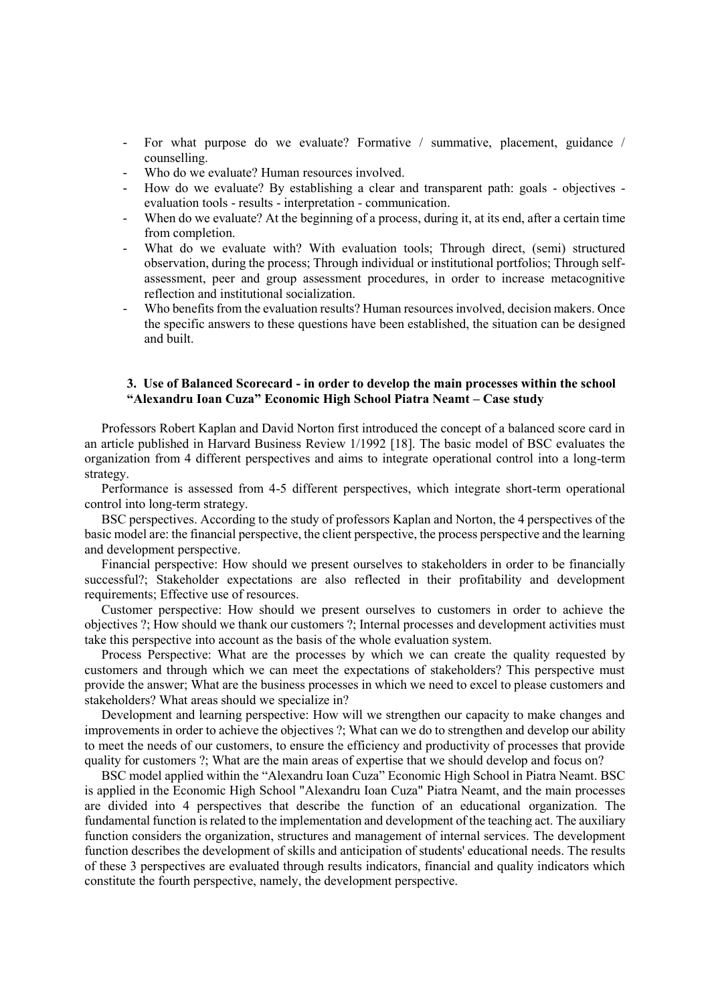- For what purpose do we evaluate? Formative / summative, placement, guidance / counselling.
- Who do we evaluate? Human resources involved.
- How do we evaluate? By establishing a clear and transparent path: goals objectives evaluation tools - results - interpretation - communication.
- When do we evaluate? At the beginning of a process, during it, at its end, after a certain time from completion.
- What do we evaluate with? With evaluation tools; Through direct, (semi) structured observation, during the process; Through individual or institutional portfolios; Through selfassessment, peer and group assessment procedures, in order to increase metacognitive reflection and institutional socialization.
- Who benefits from the evaluation results? Human resources involved, decision makers. Once the specific answers to these questions have been established, the situation can be designed and built.

## **3. Use of Balanced Scorecard - in order to develop the main processes within the school "Alexandru Ioan Cuza" Economic High School Piatra Neamt – Case study**

Professors Robert Kaplan and David Norton first introduced the concept of a balanced score card in an article published in Harvard Business Review 1/1992 [18]. The basic model of BSC evaluates the organization from 4 different perspectives and aims to integrate operational control into a long-term strategy.

Performance is assessed from 4-5 different perspectives, which integrate short-term operational control into long-term strategy.

BSC perspectives. According to the study of professors Kaplan and Norton, the 4 perspectives of the basic model are: the financial perspective, the client perspective, the process perspective and the learning and development perspective.

Financial perspective: How should we present ourselves to stakeholders in order to be financially successful?; Stakeholder expectations are also reflected in their profitability and development requirements; Effective use of resources.

Customer perspective: How should we present ourselves to customers in order to achieve the objectives ?; How should we thank our customers ?; Internal processes and development activities must take this perspective into account as the basis of the whole evaluation system.

Process Perspective: What are the processes by which we can create the quality requested by customers and through which we can meet the expectations of stakeholders? This perspective must provide the answer; What are the business processes in which we need to excel to please customers and stakeholders? What areas should we specialize in?

Development and learning perspective: How will we strengthen our capacity to make changes and improvements in order to achieve the objectives ?; What can we do to strengthen and develop our ability to meet the needs of our customers, to ensure the efficiency and productivity of processes that provide quality for customers ?; What are the main areas of expertise that we should develop and focus on?

BSC model applied within the "Alexandru Ioan Cuza" Economic High School in Piatra Neamt. BSC is applied in the Economic High School "Alexandru Ioan Cuza" Piatra Neamt, and the main processes are divided into 4 perspectives that describe the function of an educational organization. The fundamental function is related to the implementation and development of the teaching act. The auxiliary function considers the organization, structures and management of internal services. The development function describes the development of skills and anticipation of students' educational needs. The results of these 3 perspectives are evaluated through results indicators, financial and quality indicators which constitute the fourth perspective, namely, the development perspective.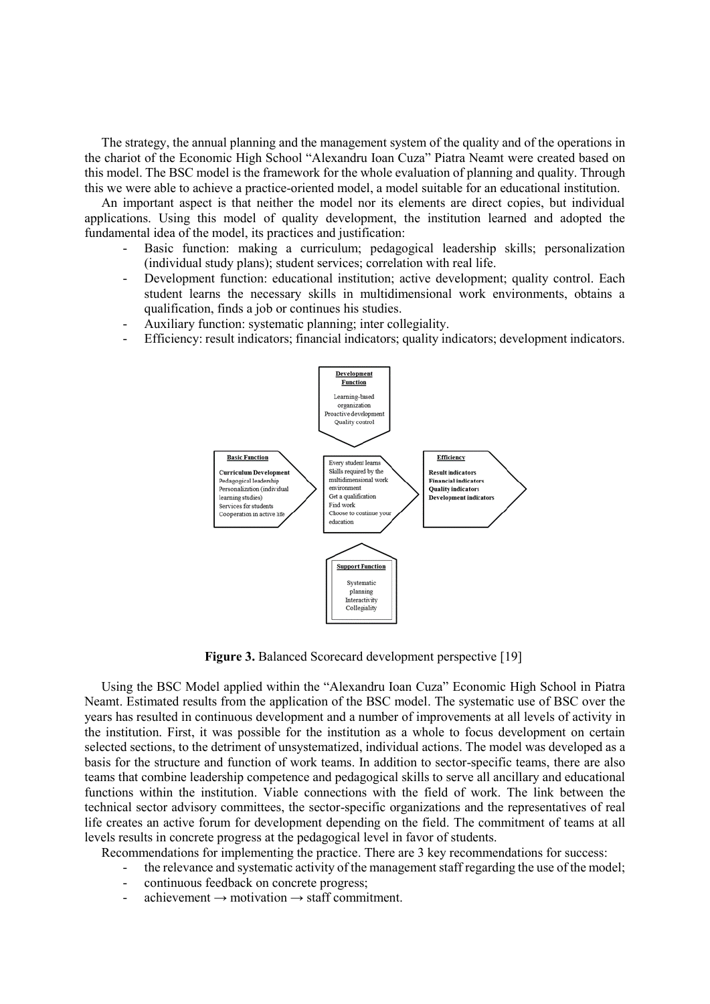The strategy, the annual planning and the management system of the quality and of the operations in the chariot of the Economic High School "Alexandru Ioan Cuza" Piatra Neamt were created based on this model. The BSC model is the framework for the whole evaluation of planning and quality. Through this we were able to achieve a practice-oriented model, a model suitable for an educational institution.

An important aspect is that neither the model nor its elements are direct copies, but individual applications. Using this model of quality development, the institution learned and adopted the fundamental idea of the model, its practices and justification:

- Basic function: making a curriculum; pedagogical leadership skills; personalization (individual study plans); student services; correlation with real life.
- Development function: educational institution; active development; quality control. Each student learns the necessary skills in multidimensional work environments, obtains a qualification, finds a job or continues his studies.
- Auxiliary function: systematic planning; inter collegiality.
- Efficiency: result indicators; financial indicators; quality indicators; development indicators.



**Figure 3.** Balanced Scorecard development perspective [19]

Using the BSC Model applied within the "Alexandru Ioan Cuza" Economic High School in Piatra Neamt. Estimated results from the application of the BSC model. The systematic use of BSC over the years has resulted in continuous development and a number of improvements at all levels of activity in the institution. First, it was possible for the institution as a whole to focus development on certain selected sections, to the detriment of unsystematized, individual actions. The model was developed as a basis for the structure and function of work teams. In addition to sector-specific teams, there are also teams that combine leadership competence and pedagogical skills to serve all ancillary and educational functions within the institution. Viable connections with the field of work. The link between the technical sector advisory committees, the sector-specific organizations and the representatives of real life creates an active forum for development depending on the field. The commitment of teams at all levels results in concrete progress at the pedagogical level in favor of students.

Recommendations for implementing the practice. There are 3 key recommendations for success:

- the relevance and systematic activity of the management staff regarding the use of the model;
- continuous feedback on concrete progress;
- $\alpha$ achievement  $\rightarrow$  motivation  $\rightarrow$  staff commitment.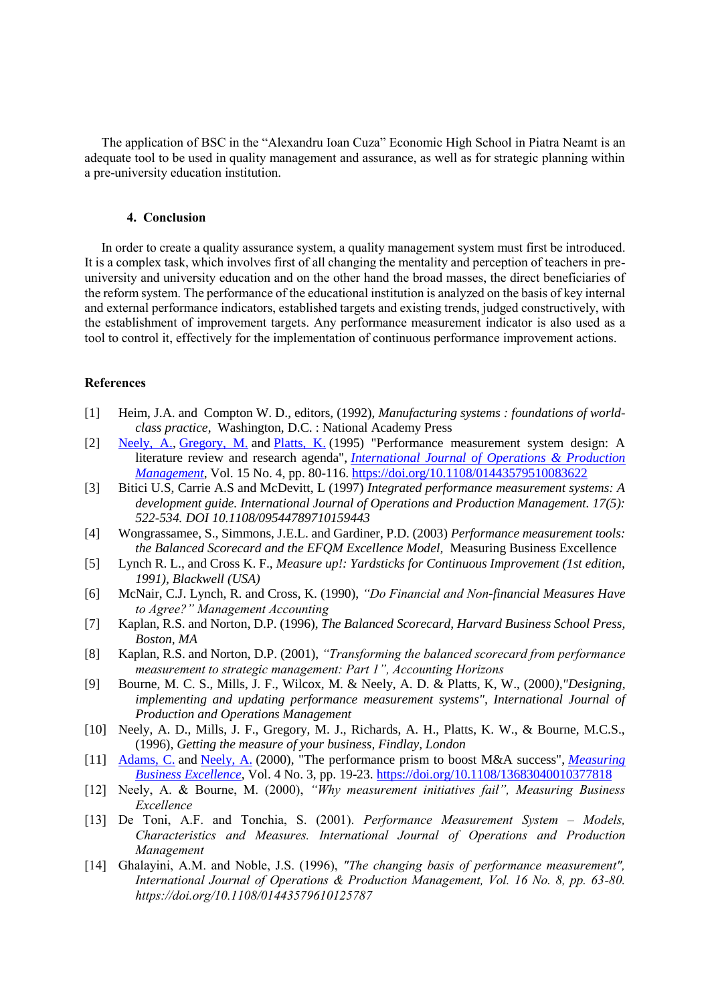The application of BSC in the "Alexandru Ioan Cuza" Economic High School in Piatra Neamt is an adequate tool to be used in quality management and assurance, as well as for strategic planning within a pre-university education institution.

## **4. Conclusion**

In order to create a quality assurance system, a quality management system must first be introduced. It is a complex task, which involves first of all changing the mentality and perception of teachers in preuniversity and university education and on the other hand the broad masses, the direct beneficiaries of the reform system. The performance of the educational institution is analyzed on the basis of key internal and external performance indicators, established targets and existing trends, judged constructively, with the establishment of improvement targets. Any performance measurement indicator is also used as a tool to control it, effectively for the implementation of continuous performance improvement actions.

## **References**

- [1] Heim, J.A. and Compton W. D., editors, (1992), *Manufacturing systems : foundations of worldclass practice*, Washington, D.C. : National Academy Press
- [2] [Neely, A.,](https://www.emerald.com/insight/search?q=Andy%20Neely) [Gregory, M.](https://www.emerald.com/insight/search?q=Mike%20Gregory) and [Platts, K.](https://www.emerald.com/insight/search?q=Ken%20Platts) (1995) "Performance measurement system design: A literature review and research agenda", *[International Journal of Operations & Production](https://www.emerald.com/insight/publication/issn/0144-3577)  [Management](https://www.emerald.com/insight/publication/issn/0144-3577)*, Vol. 15 No. 4, pp. 80-116. <https://doi.org/10.1108/01443579510083622>
- [3] Bitici U.S, Carrie A.S and McDevitt, L (1997) *Integrated performance measurement systems: A development guide. International Journal of Operations and Production Management. 17(5): 522-534. DOI 10.1108/09544789710159443*
- [4] Wongrassamee, S., Simmons, J.E.L. and Gardiner, P.D. (2003) *Performance measurement tools: the Balanced Scorecard and the EFQM Excellence Model,* Measuring Business Excellence
- [5] Lynch R. L., and Cross K. F., *Measure up!: Yardsticks for Continuous Improvement (1st edition, 1991), Blackwell (USA)*
- [6] McNair, C.J. Lynch, R. and Cross, K. (1990), *"Do Financial and Non-financial Measures Have to Agree?" Management Accounting*
- [7] Kaplan, R.S. and Norton, D.P. (1996), *The Balanced Scorecard, Harvard Business School Press, Boston, MA*
- [8] Kaplan, R.S. and Norton, D.P. (2001), *"Transforming the balanced scorecard from performance measurement to strategic management: Part 1", Accounting Horizons*
- [9] Bourne, M. C. S., Mills, J. F., Wilcox, M. & Neely, A. D. & Platts, K, W., (2000*),"Designing, implementing and updating performance measurement systems", International Journal of Production and Operations Management*
- [10] Neely, A. D., Mills, J. F., Gregory, M. J., Richards, A. H., Platts, K. W., & Bourne, M.C.S., (1996), *Getting the measure of your business, Findlay, London*
- [11] [Adams, C.](https://www.emerald.com/insight/search?q=Chris%20Adams) and [Neely, A.](https://www.emerald.com/insight/search?q=Andy%20Neely) (2000), "The performance prism to boost M&A success", *[Measuring](https://www.emerald.com/insight/publication/issn/1368-3047)  [Business Excellence](https://www.emerald.com/insight/publication/issn/1368-3047)*, Vol. 4 No. 3, pp. 19-23. <https://doi.org/10.1108/13683040010377818>
- [12] Neely, A. & Bourne, M. (2000), *"Why measurement initiatives fail", Measuring Business Excellence*
- [13] De Toni, A.F. and Tonchia, S. (2001). *Performance Measurement System – Models, Characteristics and Measures. International Journal of Operations and Production Management*
- [14] Ghalayini, A.M. and Noble, J.S. (1996), *"The changing basis of performance measurement", International Journal of Operations & Production Management, Vol. 16 No. 8, pp. 63-80. https://doi.org/10.1108/01443579610125787*